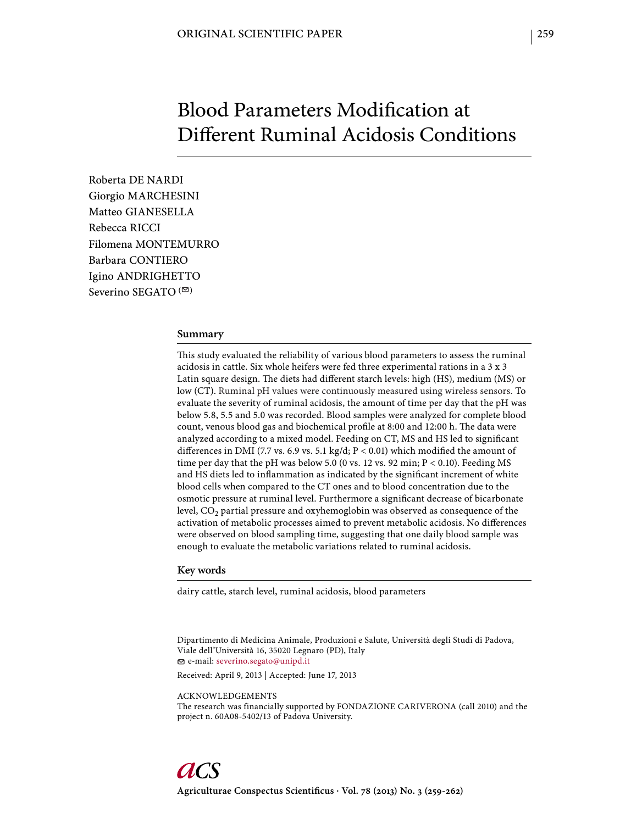# Blood Parameters Modification at Different Ruminal Acidosis Conditions

Roberta DE NARDI Giorgio MARCHESINI Matteo GIANESELLA Rebecca RICCI Filomena MONTEMURRO Barbara CONTIERO Igino ANDRIGHETTO Severino SEGATO  $($ <sup> $\odot$ </sup>)

#### **Summary**

This study evaluated the reliability of various blood parameters to assess the ruminal acidosis in cattle. Six whole heifers were fed three experimental rations in a 3 x 3 Latin square design. The diets had different starch levels: high (HS), medium (MS) or low (CT). Ruminal pH values were continuously measured using wireless sensors. To evaluate the severity of ruminal acidosis, the amount of time per day that the pH was below 5.8, 5.5 and 5.0 was recorded. Blood samples were analyzed for complete blood count, venous blood gas and biochemical profile at 8:00 and 12:00 h. The data were analyzed according to a mixed model. Feeding on CT, MS and HS led to significant differences in DMI (7.7 vs. 6.9 vs. 5.1 kg/d;  $P < 0.01$ ) which modified the amount of time per day that the pH was below 5.0 (0 vs. 12 vs. 92 min;  $P < 0.10$ ). Feeding MS and HS diets led to inflammation as indicated by the significant increment of white blood cells when compared to the CT ones and to blood concentration due to the osmotic pressure at ruminal level. Furthermore a significant decrease of bicarbonate level,  $CO<sub>2</sub>$  partial pressure and oxyhemoglobin was observed as consequence of the activation of metabolic processes aimed to prevent metabolic acidosis. No differences were observed on blood sampling time, suggesting that one daily blood sample was enough to evaluate the metabolic variations related to ruminal acidosis.

### **Key words**

dairy cattle, starch level, ruminal acidosis, blood parameters

Dipartimento di Medicina Animale, Produzioni e Salute, Università degli Studi di Padova, Viale dell'Università 16, 35020 Legnaro (PD), Italy e-mail: severino.segato@unipd.it

Received: April 9, 2013 | Accepted: June 17, 2013

ACKNOWLEDGEMENTS

The research was financially supported by FONDAZIONE CARIVERONA (call 2010) and the project n. 60A08-5402/13 of Padova University.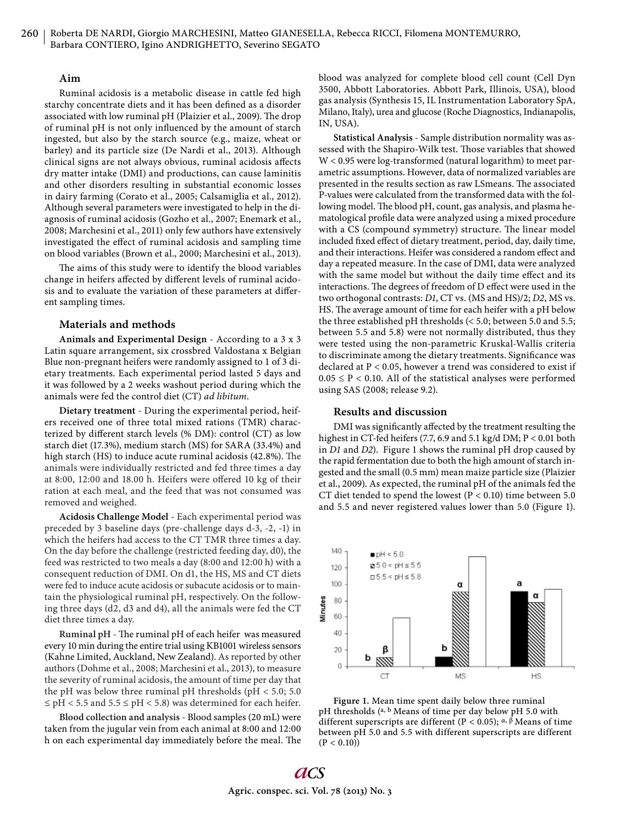## **Aim**

Ruminal acidosis is a metabolic disease in cattle fed high starchy concentrate diets and it has been defined as a disorder associated with low ruminal pH (Plaizier et al., 2009). The drop of ruminal pH is not only influenced by the amount of starch ingested, but also by the starch source (e.g., maize, wheat or barley) and its particle size (De Nardi et al., 2013). Although clinical signs are not always obvious, ruminal acidosis affects dry matter intake (DMI) and productions, can cause laminitis and other disorders resulting in substantial economic losses in dairy farming (Corato et al., 2005; Calsamiglia et al., 2012). Although several parameters were investigated to help in the diagnosis of ruminal acidosis (Gozho et al., 2007; Enemark et al., 2008; Marchesini et al., 2011) only few authors have extensively investigated the effect of ruminal acidosis and sampling time on blood variables (Brown et al., 2000; Marchesini et al., 2013).

The aims of this study were to identify the blood variables change in heifers affected by different levels of ruminal acidosis and to evaluate the variation of these parameters at different sampling times.

### **Materials and methods**

**Animals and Experimental Design** - According to a 3 x 3 Latin square arrangement, six crossbred Valdostana x Belgian Blue non-pregnant heifers were randomly assigned to 1 of 3 dietary treatments. Each experimental period lasted 5 days and it was followed by a 2 weeks washout period during which the animals were fed the control diet (CT) *ad libitum*.

**Dietary treatment** - During the experimental period, heifers received one of three total mixed rations (TMR) characterized by different starch levels (% DM): control (CT) as low starch diet (17.3%), medium starch (MS) for SARA (33.4%) and high starch (HS) to induce acute ruminal acidosis (42.8%). The animals were individually restricted and fed three times a day at 8:00, 12:00 and 18.00 h. Heifers were offered 10 kg of their ration at each meal, and the feed that was not consumed was removed and weighed.

**Acidosis Challenge Model** - Each experimental period was preceded by 3 baseline days (pre-challenge days d-3, -2, -1) in which the heifers had access to the CT TMR three times a day. On the day before the challenge (restricted feeding day, d0), the feed was restricted to two meals a day (8:00 and 12:00 h) with a consequent reduction of DMI. On d1, the HS, MS and CT diets were fed to induce acute acidosis or subacute acidosis or to maintain the physiological ruminal pH, respectively. On the following three days (d2, d3 and d4), all the animals were fed the CT diet three times a day.

Ruminal pH - The ruminal pH of each heifer was measured every 10 min during the entire trial using KB1001 wireless sensors (Kahne Limited, Auckland, New Zealand). As reported by other authors (Dohme et al., 2008; Marchesini et al., 2013), to measure the severity of ruminal acidosis, the amount of time per day that the pH was below three ruminal pH thresholds (pH < 5.0; 5.0  $\leq$  pH < 5.5 and 5.5  $\leq$  pH < 5.8) was determined for each heifer.

**Blood collection and analysis** - Blood samples (20 mL) were taken from the jugular vein from each animal at 8:00 and 12:00 h on each experimental day immediately before the meal. The blood was analyzed for complete blood cell count (Cell Dyn 3500, Abbott Laboratories. Abbott Park, Illinois, USA), blood gas analysis (Synthesis 15, IL Instrumentation Laboratory SpA, Milano, Italy), urea and glucose (Roche Diagnostics, Indianapolis, IN, USA).

**Statistical Analysis** - Sample distribution normality was assessed with the Shapiro-Wilk test. Those variables that showed W < 0.95 were log-transformed (natural logarithm) to meet parametric assumptions. However, data of normalized variables are presented in the results section as raw LSmeans. The associated P-values were calculated from the transformed data with the following model. The blood pH, count, gas analysis, and plasma hematological profile data were analyzed using a mixed procedure with a CS (compound symmetry) structure. The linear model included fixed effect of dietary treatment, period, day, daily time, and their interactions. Heifer was considered a random effect and day a repeated measure. In the case of DMI, data were analyzed with the same model but without the daily time effect and its interactions. The degrees of freedom of D effect were used in the two orthogonal contrasts: *D1*, CT vs. (MS and HS)/2; *D2*, MS vs. HS. The average amount of time for each heifer with a pH below the three established pH thresholds (< 5.0; between 5.0 and 5.5; between 5.5 and 5.8) were not normally distributed, thus they were tested using the non-parametric Kruskal-Wallis criteria to discriminate among the dietary treatments. Significance was declared at P < 0.05, however a trend was considered to exist if  $0.05 \leq P < 0.10$ . All of the statistical analyses were performed using SAS (2008; release 9.2).

#### **Results and discussion**

DMI was significantly affected by the treatment resulting the highest in CT-fed heifers (7.7, 6.9 and 5.1 kg/d DM; P < 0.01 both in *D1* and *D2*). Figure 1 shows the ruminal pH drop caused by the rapid fermentation due to both the high amount of starch ingested and the small (0.5 mm) mean maize particle size (Plaizier et al., 2009). As expected, the ruminal pH of the animals fed the CT diet tended to spend the lowest ( $P < 0.10$ ) time between 5.0 and 5.5 and never registered values lower than 5.0 (Figure 1).



**Figure 1.** Mean time spent daily below three ruminal pH thresholds (a, b Means of time per day below pH 5.0 with different superscripts are different (P < 0.05);  $\alpha$ ,  $\beta$  Means of time between pH 5.0 and 5.5 with different superscripts are different  $(P < 0.10)$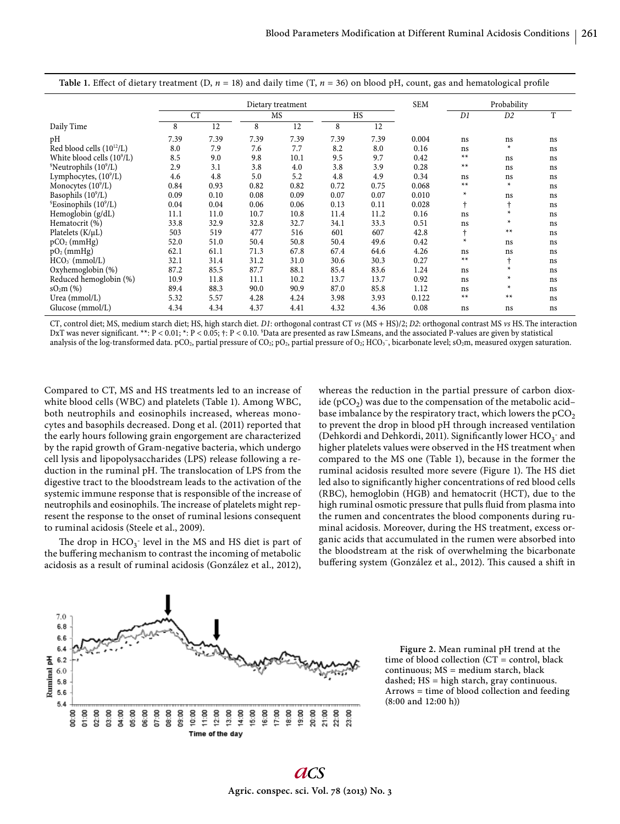|                                                 | Dietary treatment |      |      |      |      |      | <b>SEM</b> | Probability |           |    |
|-------------------------------------------------|-------------------|------|------|------|------|------|------------|-------------|-----------|----|
|                                                 | <b>CT</b>         |      | MS   |      | HS   |      |            | D1          | D2        | T  |
| Daily Time                                      | 8                 | 12   | 8    | 12   | 8    | 12   |            |             |           |    |
| pН                                              | 7.39              | 7.39 | 7.39 | 7.39 | 7.39 | 7.39 | 0.004      | ns          | ns        | ns |
| Red blood cells $(10^{12}/L)$                   | 8.0               | 7.9  | 7.6  | 7.7  | 8.2  | 8.0  | 0.16       | ns          | $\ast$    | ns |
| White blood cells $(10^9/L)$                    | 8.5               | 9.0  | 9.8  | 10.1 | 9.5  | 9.7  | 0.42       | $**$        | ns        | ns |
| $\textdegree$ Neutrophils (10 $\textdegree$ /L) | 2.9               | 3.1  | 3.8  | 4.0  | 3.8  | 3.9  | 0.28       | $**$        | ns        | ns |
| Lymphocytes, $(10^9/L)$                         | 4.6               | 4.8  | 5.0  | 5.2  | 4.8  | 4.9  | 0.34       | ns          | ns        | ns |
| Monocytes $(10^9/L)$                            | 0.84              | 0.93 | 0.82 | 0.82 | 0.72 | 0.75 | 0.068      | $**$        | $\ast$    | ns |
| Basophils $(109/L)$                             | 0.09              | 0.10 | 0.08 | 0.09 | 0.07 | 0.07 | 0.010      | $\ast$      | ns        | ns |
| \$Eosinophils (10 <sup>9</sup> /L)              | 0.04              | 0.04 | 0.06 | 0.06 | 0.13 | 0.11 | 0.028      | $\dagger$   | t         | ns |
| Hemoglobin (g/dL)                               | 11.1              | 11.0 | 10.7 | 10.8 | 11.4 | 11.2 | 0.16       | ns          | $\ast$    | ns |
| Hematocrit (%)                                  | 33.8              | 32.9 | 32.8 | 32.7 | 34.1 | 33.3 | 0.51       | ns          | $\ast$    | ns |
| Platelets $(K/\mu L)$                           | 503               | 519  | 477  | 516  | 601  | 607  | 42.8       | t           | $**$      | ns |
| $pCO2$ (mmHg)                                   | 52.0              | 51.0 | 50.4 | 50.8 | 50.4 | 49.6 | 0.42       | $\ast$      | ns        | ns |
| $pO2$ (mmHg)                                    | 62.1              | 61.1 | 71.3 | 67.8 | 67.4 | 64.6 | 4.26       | ns          | ns        | ns |
| $HCO3$ (mmol/L)                                 | 32.1              | 31.4 | 31.2 | 31.0 | 30.6 | 30.3 | 0.27       | $**$        | $\dagger$ | ns |
| Oxyhemoglobin (%)                               | 87.2              | 85.5 | 87.7 | 88.1 | 85.4 | 83.6 | 1.24       | ns          | $\ast$    | ns |
| Reduced hemoglobin (%)                          | 10.9              | 11.8 | 11.1 | 10.2 | 13.7 | 13.7 | 0.92       | ns          | $\ast$    | ns |
| $sO_2m$ (%)                                     | 89.4              | 88.3 | 90.0 | 90.9 | 87.0 | 85.8 | 1.12       | ns          | $\ast$    | ns |
| Urea $(mmol/L)$                                 | 5.32              | 5.57 | 4.28 | 4.24 | 3.98 | 3.93 | 0.122      | $**$        | $**$      | ns |
| Glucose (mmol/L)                                | 4.34              | 4.34 | 4.37 | 4.41 | 4.32 | 4.36 | 0.08       | ns          | ns        | ns |

**Table 1.** Effect of dietary treatment (D,  $n = 18$ ) and daily time (T,  $n = 36$ ) on blood pH, count, gas and hematological profile

CT, control diet; MS, medium starch diet; HS, high starch diet. D1: orthogonal contrast CT vs (MS + HS)/2; D2: orthogonal contrast MS vs HS. The interaction DxT was never significant. \*\*: P < 0.01; \*: P < 0.05; †: P < 0.10. <sup>\$</sup>Data are presented as raw LSmeans, and the associated P-values are given by statistical analysis of the log-transformed data. pCO<sub>2</sub>, partial pressure of CO<sub>2</sub>; pO<sub>2</sub>, partial pressure of O<sub>2</sub>; HCO<sub>3</sub><sup>-</sup>, bicarbonate level; sO<sub>2</sub>m, measured oxygen saturation.

Compared to CT, MS and HS treatments led to an increase of white blood cells (WBC) and platelets (Table 1). Among WBC, both neutrophils and eosinophils increased, whereas monocytes and basophils decreased. Dong et al. (2011) reported that the early hours following grain engorgement are characterized by the rapid growth of Gram-negative bacteria, which undergo cell lysis and lipopolysaccharides (LPS) release following a reduction in the ruminal pH. The translocation of LPS from the digestive tract to the bloodstream leads to the activation of the systemic immune response that is responsible of the increase of neutrophils and eosinophils. The increase of platelets might represent the response to the onset of ruminal lesions consequent to ruminal acidosis (Steele et al., 2009).

The drop in  $HCO_3$ <sup>-</sup> level in the MS and HS diet is part of the buffering mechanism to contrast the incoming of metabolic acidosis as a result of ruminal acidosis (González et al., 2012),

whereas the reduction in the partial pressure of carbon dioxide ( $pCO<sub>2</sub>$ ) was due to the compensation of the metabolic acid– base imbalance by the respiratory tract, which lowers the  $pCO<sub>2</sub>$ to prevent the drop in blood pH through increased ventilation (Dehkordi and Dehkordi, 2011). Significantly lower  $\mathrm{HCO}_{3}^{-}$  and higher platelets values were observed in the HS treatment when compared to the MS one (Table 1), because in the former the ruminal acidosis resulted more severe (Figure 1). The HS diet led also to significantly higher concentrations of red blood cells (RBC), hemoglobin (HGB) and hematocrit (HCT), due to the high ruminal osmotic pressure that pulls fluid from plasma into the rumen and concentrates the blood components during ruminal acidosis. Moreover, during the HS treatment, excess organic acids that accumulated in the rumen were absorbed into the bloodstream at the risk of overwhelming the bicarbonate buffering system (González et al., 2012). This caused a shift in



**Figure 2.** Mean ruminal pH trend at the time of blood collection (CT = control, black continuous; MS = medium starch, black dashed; HS = high starch, gray continuous. Arrows = time of blood collection and feeding (8:00 and 12:00 h))